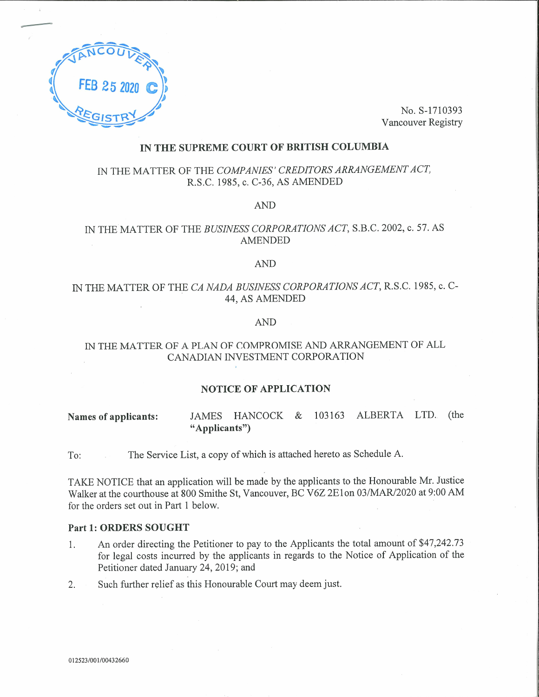

No. S-1710393Vancouver Registry

## IN THE SUPREME COURT OF BRITISH COLUMBIA

# IN THE MATTER OF THE COMPANIES' CREDITORS ARRANGEMENT ACT,R.S.C. 1985, c. C-36, AS AMENDED

AND

# IN THE MATTER OF THE BUSINESS CORPORATIONS ACT, S.B.C. 2002, c. 57. ASAMENDED

### AND

## IN THE MATTER OF THE CA NADA BUSINESS CORPORATIONS ACT, R.S.C. 1985, c. C-44, AS AMENDED

## AND

# IN THE MATTER OF A PLAN OF COMPROMISE AND ARRANGEMENT OF ALLCANADIAN INVESTMENT CORPORATION

### NOTICE OF APPLICATION

Names of applicants: JAMES HANCOCK & 103163 ALBERTA LTD. (the "Applicants")

To: The Service List, a copy of which is attached hereto as Schedule A.

TAKE NOTICE that an application will be made by the applicants to the Honourable Mr. JusticeWalker at the courthouse at 800 Smithe St, Vancouver, BC V6Z 2E1 on 03/MAR/2020 at 9:00 AM for the orders set out in Part 1 below.

#### Part 1: ORDERS SOUGHT

- 1. An order directing the Petitioner to pay to the Applicants the total amount of \$47,242.73 for legal costs incurred by the applicants in regards to the Notice of Application of thePetitioner dated January 24, 2019; and
- 2. Such further relief as this Honourable Court may deem just.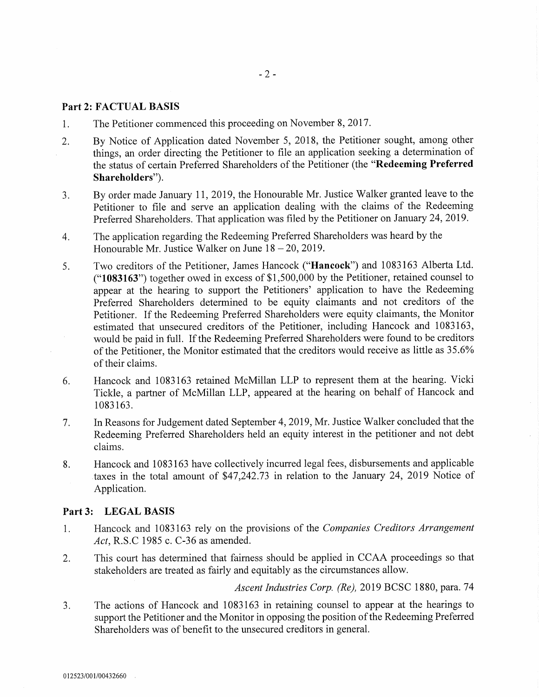## Part 2: FACTUAL BASIS

- 1. The Petitioner commenced this proceeding on November 8, 2017.
- 2. By Notice of Application dated November 5, 2018, the Petitioner sought, among other things, an order directing the Petitioner to file an application seeking a determination of the status of certain Preferred Shareholders of the Petitioner (the "Redeeming Preferred Shareholders"),
- 3. By order made January 11, 2019, the Honourable Mr. Justice Walker granted leave to the Petitioner to file and serve an application dealing with the claims of the Redeeming Preferred Shareholders. That application was filed by the Petitioner on January 24, 2019.
- 4. The application regarding the Redeeming Preferred Shareholders was heard by the Honourable Mr. Justice Walker on June  $18-20$ , 2019.
- 5. Two creditors of the Petitioner, James Hancock ("Hancock") and 1083163 Alberta Ltd. ("1083163") together owed in excess of \$1,500,000 by the Petitioner, retained counsel to appear at the hearing to support the Petitioners' application to have the Redeeming Preferred Shareholders determined to be equity claimants and not creditors of the Petitioner. If the Redeeming Preferred Shareholders were equity claimants, the Monitor estimated that unsecured creditors of the Petitioner, including Hancock and 1083163, would be paid in full. If the Redeeming Preferred Shareholders were found to be creditors of the Petitioner, the Monitor estimated that the creditors would receive as little as 35.6% of their claims.
- 6. Hancock and 1083163 retained McMillan LLP to represent them at the hearing. Vicki Tickle, a partner of McMillan LLP, appeared at the hearing on behalf of Hancock and 1083163.
- 7. In Reasons for Judgement dated September 4, 2019, Mr. Justice Walker concluded that the Redeeming Preferred Shareholders held an equity interest in the petitioner and not debt claims.
- 8. Hancock and 1083163 have collectively incurred legal fees, disbursements and applicable taxes in the total amount of \$47,242.73 in relation to the January 24, 2019 Notice of Application.

### Part3: LEGAL BASIS

- 1. Hancock and 1083163 rely on the provisions of the Companies Creditors Arrangement Act, R.S.C 1985 c. C-36 as amended.
- 2. This court has determined that fairness should be applied in CCAA proceedings so that stakeholders are treated as fairly and equitably as the circumstances allow.

Ascent Industries Corp. (Re), 2019 BCSC 1880, para. 74

3. The actions of Hancock and 1083163 in retaining counsel to appear at the hearings to support the Petitioner and the Monitor in opposing the position of the Redeeming Preferred Shareholders was of benefit to the unsecured creditors in general.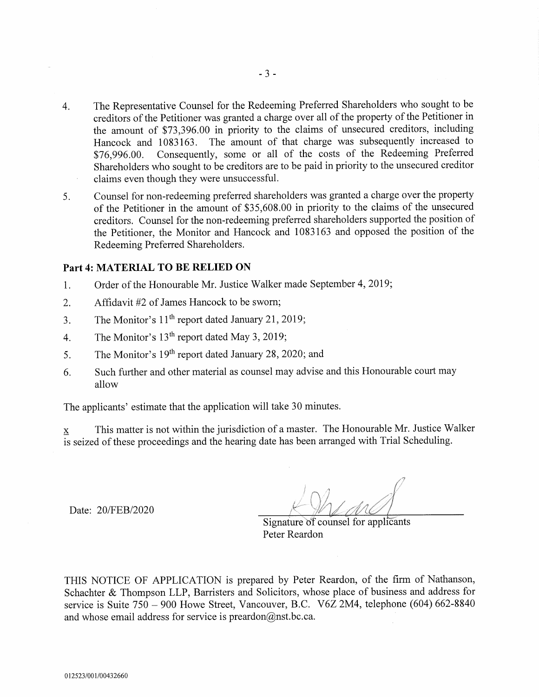- 4. The Representative Counsel for the Redeeming Preferred Shareholders who sought to be creditors of the Petitioner was granted a charge over all of the property of the Petitioner in the amount of \$73,396.00 in priority to the claims of unsecured creditors, including Hancock and 1083163. The amount of that charge was subsequently increased to \$76,996.00. Consequently, some or all of the costs of the Redeeming Preferred Shareholders who sought to be creditors are to be paid in priority to the unsecured creditor claims even though they were unsuccessful.
- 5. Counsel for non-redeeming preferred shareholders was granted a charge over the property of the Petitioner in the amount of \$35,608.00 in priority to the claims of the unsecured creditors. Counsel for the non-redeeming preferred shareholders supported the position of the Petitioner, the Monitor and Hancock and 1083163 and opposed the position of the Redeeming Preferred Shareholders.

## Part 4: MATERIAL TO BE RELIED ON

- 1. Order of the Honourable Mr. Justice Walker made September 4, 2019;
- 2. Affidavit #2 of James Hancock to be sworn;
- 3. The Monitor's  $11<sup>th</sup>$  report dated January 21, 2019;
- 4. The Monitor's  $13<sup>th</sup>$  report dated May 3, 2019;
- 5. The Monitor's  $19<sup>th</sup>$  report dated January 28, 2020; and
- 6. Such further and other material as counsel may advise and this Honourable court may allow

The applicants' estimate that the application will take 30 minutes.

 $x$  This matter is not within the jurisdiction of a master. The Honourable Mr. Justice Walker is seized of these proceedings and the hearing date has been arranged with Trial Scheduling.

Date: 20/FEB/2020

Signature of counsel for applicants Peter Reardon

THIS NOTICE OF APPLICATION is prepared by Peter Reardon, of the firm of Nathanson, Schachter & Thompson LLP, Barristers and Solicitors, whose place of business and address for service is Suite 750 - 900 Howe Street, Vancouver, B.C. V6Z 2M4, telephone (604) 662-8840 and whose email address for service is preardon@nst.bc.ca.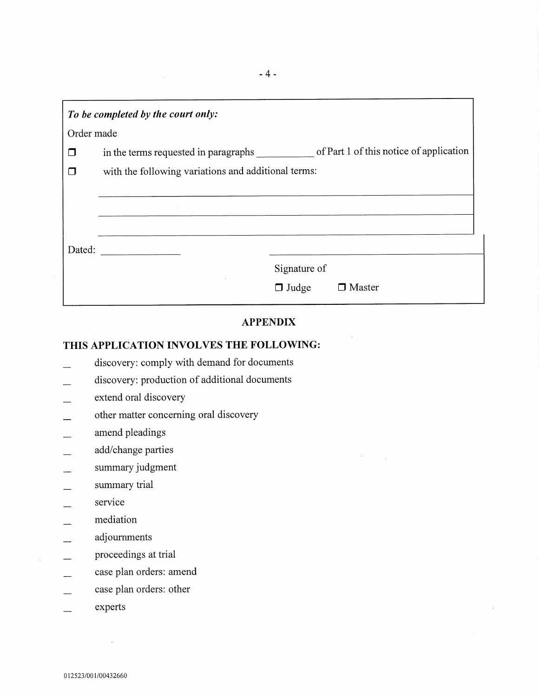| To be completed by the court only: |                                                                                 |  |  |  |
|------------------------------------|---------------------------------------------------------------------------------|--|--|--|
| Order made                         |                                                                                 |  |  |  |
| ◘                                  | of Part 1 of this notice of application<br>in the terms requested in paragraphs |  |  |  |
| П                                  | with the following variations and additional terms:                             |  |  |  |
|                                    |                                                                                 |  |  |  |
|                                    |                                                                                 |  |  |  |
|                                    |                                                                                 |  |  |  |
| Dated:                             |                                                                                 |  |  |  |
|                                    | Signature of                                                                    |  |  |  |
|                                    | Master<br>$\Box$ Judge                                                          |  |  |  |
|                                    |                                                                                 |  |  |  |

# APPENDIX

 $\sim$ 

# THIS APPLICATION INVOLVES THE FOLLOWING:

- discovery: comply with demand for documents
- discovery: production of additional documents
- extend oral discovery
- other matter concerning oral discovery
- amend pleadings
- add/change parties
- summary judgment
- summary trial
- service
- mediation
- adjournments
- proceedings at trial
- case plan orders: amend
- case plan orders: other
- experts  $\overline{\phantom{a}}$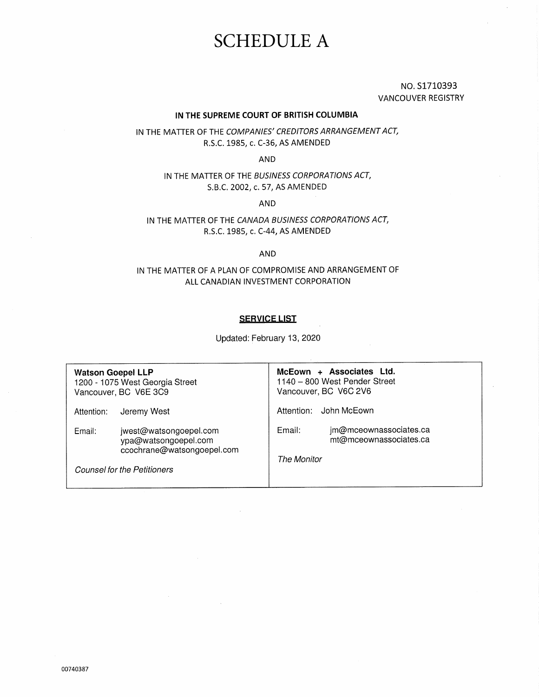# SCHEDULE A

NO.S1710393 VANCOUVER REGISTRY

#### IN THE SUPREME COURT OF BRITISH COLUMBIA

IN THE MATTER OF THE COMPANIES' CREDITORS ARRANGEMENT ACT, R.S.C. 1985, c. C-36, AS AMENDED

AND

IN THE MATTER OF THE BUSINESS CORPORATIONS ACT, S.B.C. 2002, c. 57, AS AMENDED

AND

IN THE MATTER OF THE CANADA BUSINESS CORPORATIONS ACT, R.S.C. 1985, c. C-44, AS AMENDED

AND

## IN THE MATTER OF A PLAN OF COMPROMISE AND ARRANGEMENT OF ALL CANADIAN INVESTMENT CORPORATION

#### **SERVICE LIST**

Updated: February 13, 2020

Watson Goepel LLP 1200 -1075 West Georgia Street Vancouver, BC V6E 3C9 Attention: Jeremy West Email: jwest@watsongoepel.com ypa@watsongoepel.com ccochrane@watsongoepel.com Counsel for the Petitioners McEown + Associates Ltd. 1140 - 800 West Pender Street Vancouver, BC V6C 2V6 Attention: John McEown Email: jm@mceownassociates.ca mt@mceownassociates.ca The Monitor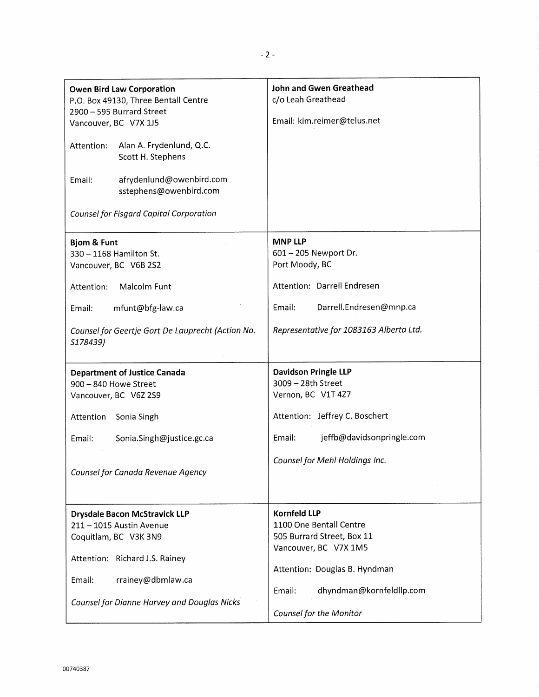| <b>Owen Bird Law Corporation</b><br>P.O. Box 49130, Three Bentall Centre<br>2900 - 595 Burrard Street<br>Vancouver, BC V7X 1J5<br>Alan A. Frydenlund, Q.C.<br>Attention:<br>Scott H. Stephens<br>afrydenlund@owenbird.com<br>Email:<br>sstephens@owenbird.com<br>Counsel for Fisgard Capital Corporation | John and Gwen Greathead<br>c/o Leah Greathead<br>Email: kim.reimer@telus.net                                                                                                                            |
|----------------------------------------------------------------------------------------------------------------------------------------------------------------------------------------------------------------------------------------------------------------------------------------------------------|---------------------------------------------------------------------------------------------------------------------------------------------------------------------------------------------------------|
| <b>Bjom &amp; Funt</b><br>330 - 1168 Hamilton St.<br>Vancouver, BC V6B 2S2<br>Malcolm Funt<br>Attention:<br>mfunt@bfg-law.ca<br>Email:<br>Counsel for Geertje Gort De Lauprecht (Action No.<br>S178439)                                                                                                  | <b>MNP LLP</b><br>601 - 205 Newport Dr.<br>Port Moody, BC<br>Attention: Darrell Endresen<br>Darrell.Endresen@mnp.ca<br>Email:<br>Representative for 1083163 Alberta Ltd.                                |
| <b>Department of Justice Canada</b><br>900 - 840 Howe Street<br>Vancouver, BC V6Z 2S9<br>Attention<br>Sonia Singh<br>Email:<br>Sonia.Singh@justice.gc.ca<br>Counsel for Canada Revenue Agency                                                                                                            | <b>Davidson Pringle LLP</b><br>3009 - 28th Street<br>Vernon, BC V1T 4Z7<br>Attention: Jeffrey C. Boschert<br>jeffb@davidsonpringle.com<br>Email:<br>Counsel for Mehl Holdings Inc.                      |
| <b>Drysdale Bacon McStravick LLP</b><br>211 - 1015 Austin Avenue<br>Coquitlam, BC V3K 3N9<br>Attention: Richard J.S. Rainey<br>Email:<br>rrainey@dbmlaw.ca<br>Counsel for Dianne Harvey and Douglas Nicks                                                                                                | <b>Kornfeld LLP</b><br>1100 One Bentall Centre<br>505 Burrard Street, Box 11<br>Vancouver, BC V7X 1M5<br>Attention: Douglas B. Hyndman<br>dhyndman@kornfeldllp.com<br>Email:<br>Counsel for the Monitor |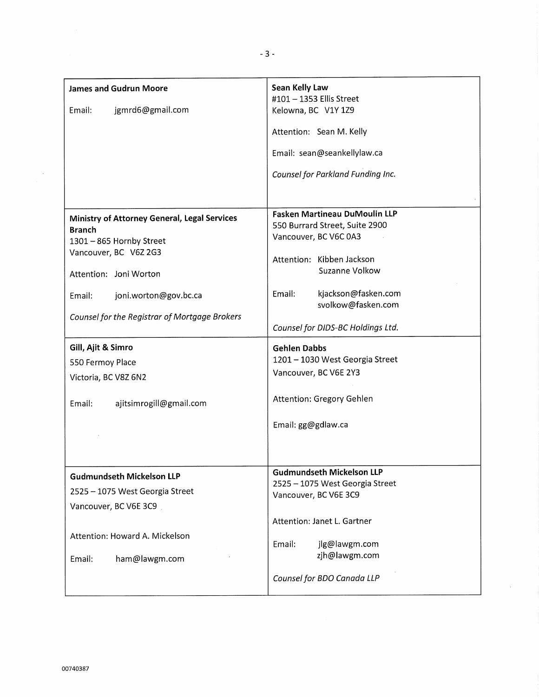| <b>James and Gudrun Moore</b>                                                                                                                                                   | Sean Kelly Law<br>#101 - 1353 Ellis Street                                                                                                                                                            |
|---------------------------------------------------------------------------------------------------------------------------------------------------------------------------------|-------------------------------------------------------------------------------------------------------------------------------------------------------------------------------------------------------|
| jgmrd6@gmail.com<br>Email:                                                                                                                                                      | Kelowna, BC V1Y 1Z9                                                                                                                                                                                   |
|                                                                                                                                                                                 | Attention: Sean M. Kelly                                                                                                                                                                              |
|                                                                                                                                                                                 | Email: sean@seankellylaw.ca                                                                                                                                                                           |
|                                                                                                                                                                                 | Counsel for Parkland Funding Inc.                                                                                                                                                                     |
|                                                                                                                                                                                 |                                                                                                                                                                                                       |
| Ministry of Attorney General, Legal Services<br><b>Branch</b><br>1301 - 865 Hornby Street<br>Vancouver, BC V6Z 2G3<br>Attention: Joni Worton<br>Email:<br>joni.worton@gov.bc.ca | <b>Fasken Martineau DuMoulin LLP</b><br>550 Burrard Street, Suite 2900<br>Vancouver, BC V6C 0A3<br>Attention: Kibben Jackson<br>Suzanne Volkow<br>kjackson@fasken.com<br>Email:<br>svolkow@fasken.com |
| Counsel for the Registrar of Mortgage Brokers                                                                                                                                   | Counsel for DIDS-BC Holdings Ltd.                                                                                                                                                                     |
| Gill, Ajit & Simro<br>550 Fermoy Place<br>Victoria, BC V8Z 6N2<br>ajitsimrogill@gmail.com<br>Email:                                                                             | <b>Gehlen Dabbs</b><br>1201 - 1030 West Georgia Street<br>Vancouver, BC V6E 2Y3<br>Attention: Gregory Gehlen<br>Email: gg@gdlaw.ca                                                                    |
| <b>Gudmundseth Mickelson LLP</b><br>2525 - 1075 West Georgia Street<br>Vancouver, BC V6E 3C9<br>Attention: Howard A. Mickelson<br>ham@lawgm.com<br>Email:                       | <b>Gudmundseth Mickelson LLP</b><br>2525 - 1075 West Georgia Street<br>Vancouver, BC V6E 3C9<br>Attention: Janet L. Gartner<br>Email:<br>jlg@lawgm.com<br>zjh@lawgm.com<br>Counsel for BDO Canada LLP |

 $\sim$ 

 $\frac{1}{2}$